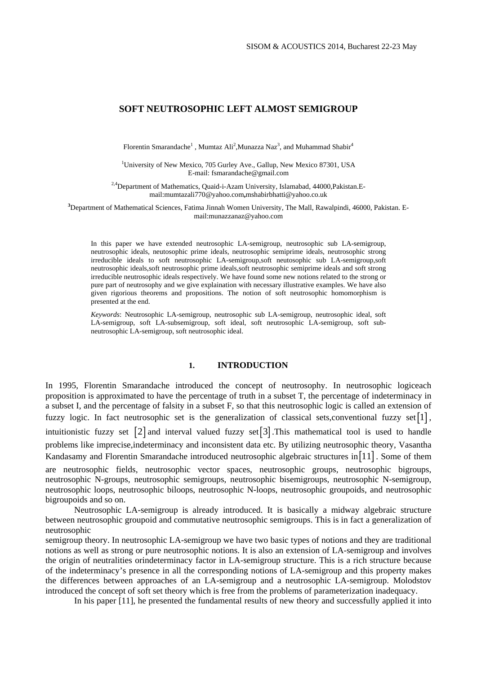# **SOFT NEUTROSOPHIC LEFT ALMOST SEMIGROUP**

Florentin Smarandache<sup>1</sup>, Mumtaz Ali<sup>2</sup>, Munazza Naz<sup>3</sup>, and Muhammad Shabir<sup>4</sup>

<sup>1</sup>University of New Mexico, 705 Gurley Ave., Gallup, New Mexico 87301, USA E-mail: fsmarandache@gmail.com

<sup>2,4</sup>Department of Mathematics, Quaid-i-Azam University, Islamabad, 44000, Pakistan. Email:mumtazali770@yahoo.com**,**mshabirbhatti@yahoo.co.uk

**3** Department of Mathematical Sciences, Fatima Jinnah Women University, The Mall, Rawalpindi, 46000, Pakistan. Email:munazzanaz@yahoo.com

In this paper we have extended neutrosophic LA-semigroup, neutrosophic sub LA-semigroup, neutrosophic ideals, neutosophic prime ideals, neutrosophic semiprime ideals, neutrosophic strong irreducible ideals to soft neutrosophic LA-semigroup,soft neutosophic sub LA-semigroup,soft neutrosophic ideals,soft neutrosophic prime ideals,soft neutrosophic semiprime ideals and soft strong irreducible neutrosophic ideals respectively. We have found some new notions related to the strong or pure part of neutrosophy and we give explaination with necessary illustrative examples. We have also given rigorious theorems and propositions. The notion of soft neutrosophic homomorphism is presented at the end.

*Keywords*: Neutrosophic LA-semigroup, neutrosophic sub LA-semigroup, neutrosophic ideal, soft LA-semigroup, soft LA-subsemigroup, soft ideal, soft neutrosophic LA-semigroup, soft subneutrosophic LA-semigroup, soft neutrosophic ideal.

## **1. INTRODUCTION**

In 1995, Florentin Smarandache introduced the concept of neutrosophy. In neutrosophic logiceach proposition is approximated to have the percentage of truth in a subset T, the percentage of indeterminacy in a subset I, and the percentage of falsity in a subset F, so that this neutrosophic logic is called an extension of fuzzy logic. In fact neutrosophic set is the generalization of classical sets, conventional fuzzy set [1], intuitionistic fuzzy set  $\lceil 2 \rceil$  and interval valued fuzzy set  $\lceil 3 \rceil$ . This mathematical tool is used to handle problems like imprecise,indeterminacy and inconsistent data etc. By utilizing neutrosophic theory, Vasantha Kandasamy and Florentin Smarandache introduced neutrosophic algebraic structures in [11]. Some of them are neutrosophic fields, neutrosophic vector spaces, neutrosophic groups, neutrosophic bigroups, neutrosophic N-groups, neutrosophic semigroups, neutrosophic bisemigroups, neutrosophic N-semigroup, neutrosophic loops, neutrosophic biloops, neutrosophic N-loops, neutrosophic groupoids, and neutrosophic bigroupoids and so on.

 Neutrosophic LA-semigroup is already introduced. It is basically a midway algebraic structure between neutrosophic groupoid and commutative neutrosophic semigroups. This is in fact a generalization of neutrosophic

semigroup theory. In neutrosophic LA-semigroup we have two basic types of notions and they are traditional notions as well as strong or pure neutrosophic notions. It is also an extension of LA-semigroup and involves the origin of neutralities orindeterminacy factor in LA-semigroup structure. This is a rich structure because of the indeterminacy's presence in all the corresponding notions of LA-semigroup and this property makes the differences between approaches of an LA-semigroup and a neutrosophic LA-semigroup. Molodstov introduced the concept of soft set theory which is free from the problems of parameterization inadequacy.

In his paper [11], he presented the fundamental results of new theory and successfully applied it into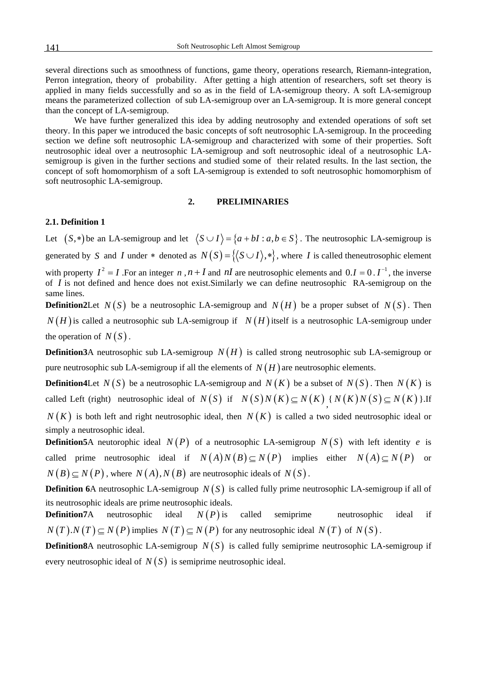several directions such as smoothness of functions, game theory, operations research, Riemann-integration, Perron integration, theory of probability. After getting a high attention of researchers, soft set theory is applied in many fields successfully and so as in the field of LA-semigroup theory. A soft LA-semigroup means the parameterized collection of sub LA-semigroup over an LA-semigroup. It is more general concept than the concept of LA-semigroup.

 We have further generalized this idea by adding neutrosophy and extended operations of soft set theory. In this paper we introduced the basic concepts of soft neutrosophic LA-semigroup. In the proceeding section we define soft neutrosophic LA-semigroup and characterized with some of their properties. Soft neutrosophic ideal over a neutrosophic LA-semigroup and soft neutrosophic ideal of a neutrosophic LAsemigroup is given in the further sections and studied some of their related results. In the last section, the concept of soft homomorphism of a soft LA-semigroup is extended to soft neutrosophic homomorphism of soft neutrosophic LA-semigroup.

#### **2. PRELIMINARIES**

#### **2.1. Definition 1**

Let  $(S,*)$  be an LA-semigroup and let  $\langle S \cup I \rangle = \{a + bI : a, b \in S\}$ . The neutrosophic LA-semigroup is generated by *S* and *I* under \* denoted as  $N(S) = \{(S \cup I), *\}$ , where *I* is called theneutrosophic element with property  $I^2 = I$ . For an integer *n*, *n* + *I* and *nI* are neutrosophic elements and  $0.I = 0.I^{-1}$ , the inverse of *I* is not defined and hence does not exist.Similarly we can define neutrosophic RA-semigroup on the same lines.

**Definition2Let**  $N(S)$  be a neutrosophic LA-semigroup and  $N(H)$  be a proper subset of  $N(S)$ . Then  $N(H)$  is called a neutrosophic sub LA-semigroup if  $N(H)$  itself is a neutrosophic LA-semigroup under the operation of  $N(S)$ .

**Definition3**A neutrosophic sub LA-semigroup  $N(H)$  is called strong neutrosophic sub LA-semigroup or pure neutrosophic sub LA-semigroup if all the elements of  $N(H)$  are neutrosophic elements.

**Definition4Let**  $N(S)$  be a neutrosophic LA-semigroup and  $N(K)$  be a subset of  $N(S)$ . Then  $N(K)$  is called Left (right) neutrosophic ideal of  $N(S)$  if  $N(S)N(K) \subseteq N(K)$ ,  $N(K)N(S) \subseteq N(K)$  }.If

 $N(K)$  is both left and right neutrosophic ideal, then  $N(K)$  is called a two sided neutrosophic ideal or simply a neutrosophic ideal.

**Definition5**A neutorophic ideal  $N(P)$  of a neutrosophic LA-semigroup  $N(S)$  with left identity e is called prime neutrosophic ideal if  $N(A)N(B) \subseteq N(P)$  implies either  $N(A) \subseteq N(P)$  or  $N(B) \subset N(P)$ , where  $N(A)$ ,  $N(B)$  are neutrosophic ideals of  $N(S)$ .

**Definition 6A** neutrosophic LA-semigroup  $N(S)$  is called fully prime neutrosophic LA-semigroup if all of its neutrosophic ideals are prime neutrosophic ideals.

**Definition7**A neutrosophic ideal  $N(P)$  is called semiprime neutrosophic ideal if  $N(T) \cdot N(T) \subseteq N(P)$  implies  $N(T) \subseteq N(P)$  for any neutrosophic ideal  $N(T)$  of  $N(S)$ .

**Definition8**A neutrosophic LA-semigroup  $N(S)$  is called fully semiprime neutrosophic LA-semigroup if every neutrosophic ideal of  $N(S)$  is semiprime neutrosophic ideal.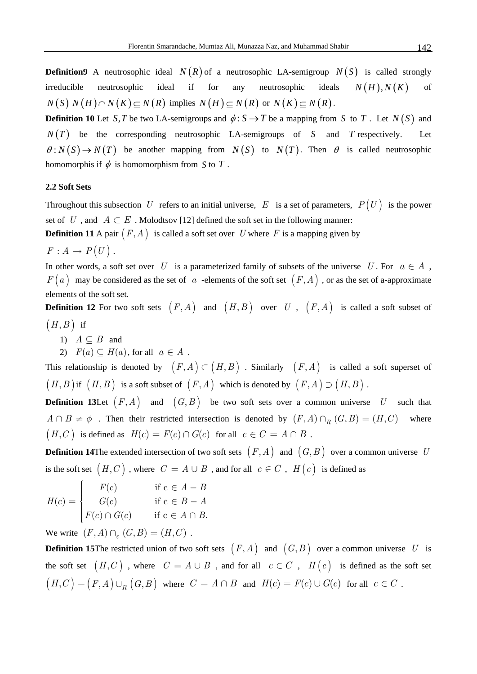**Definition9** A neutrosophic ideal  $N(R)$  of a neutrosophic LA-semigroup  $N(S)$  is called strongly irreducible neutrosophic ideal if for any neutrosophic ideals  $N(H)$ ,  $N(K)$  of  $N(S) N(H) \cap N(K) \subseteq N(R)$  implies  $N(H) \subseteq N(R)$  or  $N(K) \subseteq N(R)$ .

**Definition 10** Let *S,T* be two LA-semigroups and  $\phi: S \to T$  be a mapping from *S* to *T*. Let  $N(S)$  and  $N(T)$  be the corresponding neutrosophic LA-semigroups of *S* and *T* respectively. Let  $\theta: N(S) \to N(T)$  be another mapping from  $N(S)$  to  $N(T)$ . Then  $\theta$  is called neutrosophic homomorphis if  $\phi$  is homomorphism from *S* to *T*.

#### **2.2 Soft Sets**

Throughout this subsection U refers to an initial universe,  $E$  is a set of parameters,  $P(U)$  is the power set of *U*, and  $A \subset E$ . Molodtsov [12] defined the soft set in the following manner:

**Definition 11** A pair  $(F, A)$  is called a soft set over *U* where *F* is a mapping given by

$$
F: A \to P(U).
$$

In other words, a soft set over *U* is a parameterized family of subsets of the universe *U*. For  $a \in A$ ,  $F(a)$  may be considered as the set of *a* -elements of the soft set  $(F, A)$ , or as the set of a-approximate elements of the soft set.

**Definition 12** For two soft sets  $(F, A)$  and  $(H, B)$  over *U*,  $(F, A)$  is called a soft subset of  $(H, B)$  if

- 1)  $A \subseteq B$  and
- 2)  $F(a) \subseteq H(a)$ , for all  $a \in A$ .

This relationship is denoted by  $(F, A) \subset (H, B)$ . Similarly  $(F, A)$  is called a soft superset of  $(H, B)$  if  $(H, B)$  is a soft subset of  $(F, A)$  which is denoted by  $(F, A) \supset (H, B)$ .

**Definition 13Let**  $(F, A)$  and  $(G, B)$  be two soft sets over a common universe U such that  $(H, C)$  is defined as  $H(c) = F(c) \cap G(c)$  for all  $c \in C = A \cap B$ .  $A \cap B \neq \emptyset$ . Then their restricted intersection is denoted by  $(F, A) \cap_R (G, B) = (H, C)$  where

**Definition 14**The extended intersection of two soft sets  $(F, A)$  and  $(G, B)$  over a common universe U is the soft set  $(H, C)$ , where  $C = A \cup B$ , and for all  $c \in C$ ,  $H(c)$  is defined as

$$
H(c) = \begin{cases} F(c) & \text{if } c \in A - B \\ G(c) & \text{if } c \in B - A \\ F(c) \cap G(c) & \text{if } c \in A \cap B. \end{cases}
$$

We write  $(F, A) \cap_{\varepsilon} (G, B) = (H, C)$ .

**Definition 15**The restricted union of two soft sets  $(F, A)$  and  $(G, B)$  over a common universe U is the soft set  $(H, C)$ , where  $C = A \cup B$ , and for all  $c \in C$ ,  $H(c)$  is defined as the soft set  $(H, C) = (F, A) \cup_R (G, B)$  where  $C = A \cap B$  and  $H(c) = F(c) \cup G(c)$  for all  $c \in C$ .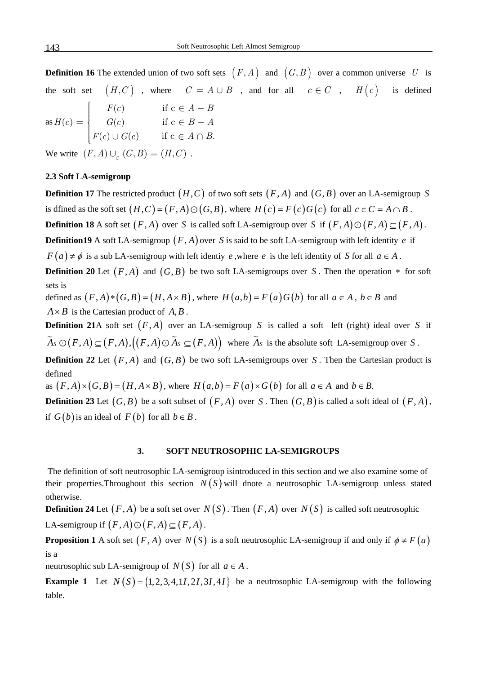**Definition 16** The extended union of two soft sets  $(F, A)$  and  $(G, B)$  over a common universe U is the soft set  $(H, C)$ , where  $C = A \cup B$ , and for all  $c \in C$ ,  $H(c)$  is defined as  $(c)$  $\left( c\right)$  $f(c) \cup G(c)$ *F c*  $G(c)$  $G(c)$  if  $c \in A \cap B$ . *A B*  $B - A$ *A B* −  $=$   $\begin{cases} G(c) & \text{if } c \in B - \end{cases}$  $\cup G(c)$  if  $c \in A \cap$ if c  $G(c) = \begin{cases} G(c) & \text{if } c \end{cases}$ if c *H c*  $F(c)$ ⎧⎪ ⎪ ⎪⎪ ⎨ ⎪ ⎪ ⎪ ⎪⎩ ∈ ∈ ∈

We write  $(F, A) \cup_{\leq} (G, B) = (H, C)$ 

#### **2.3 Soft LA-semigroup**

**Definition 17** The restricted product  $(H, C)$  of two soft sets  $(F, A)$  and  $(G, B)$  over an LA-semigroup S is dfined as the soft set  $(H, C) = (F, A) \odot (G, B)$ , where  $H(c) = F(c)G(c)$  for all  $c \in C = A \cap B$ . **Definition 18** A soft set  $(F, A)$  over *S* is called soft LA-semigroup over *S* if  $(F, A) \odot (F, A) \subset (F, A)$ . **Definition19** A soft LA-semigroup  $(F, A)$  over *S* is said to be soft LA-semigroup with left identity *e* if  $F(a) \neq \phi$  is a sub LA-semigroup with left identity *e*, where *e* is the left identity of *S* for all  $a \in A$ . **Definition 20** Let  $(F, A)$  and  $(G, B)$  be two soft LA-semigroups over S. Then the operation  $*$  for soft

sets is

defined as  $(F, A) * (G, B) = (H, A \times B)$ , where  $H(a, b) = F(a)G(b)$  for all  $a \in A$ ,  $b \in B$  and  $A \times B$  is the Cartesian product of  $A, B$ .

**Definition 21**A soft set  $(F, A)$  over an LA-semigroup S is called a soft left (right) ideal over S if  $\widetilde{A}_S \odot (F,A) \subseteq (F,A), ((F,A) \odot \widetilde{A}_S \subseteq (F,A))$  where  $\widetilde{A}_S$  is the absolute soft LA-semigroup over *S*.

**Definition 22** Let  $(F, A)$  and  $(G, B)$  be two soft LA-semigroups over S. Then the Cartesian product is defined

as  $(F, A) \times (G, B) = (H, A \times B)$ , where  $H(a,b) = F(a) \times G(b)$  for all  $a \in A$  and  $b \in B$ .

**Definition 23** Let  $(G, B)$  be a soft subset of  $(F, A)$  over *S*. Then  $(G, B)$  is called a soft ideal of  $(F, A)$ , if  $G(b)$  is an ideal of  $F(b)$  for all  $b \in B$ .

#### **3. SOFT NEUTROSOPHIC LA-SEMIGROUPS**

 The definition of soft neutrosophic LA-semigroup isintroduced in this section and we also examine some of their properties. Throughout this section  $N(S)$  will dnote a neutrosophic LA-semigroup unless stated otherwise.

**Definition 24** Let  $(F, A)$  be a soft set over  $N(S)$ . Then  $(F, A)$  over  $N(S)$  is called soft neutrosophic LA-semigroup if  $(F,A) \odot (F,A) \subset (F,A)$ .

**Proposition 1** A soft set  $(F, A)$  over  $N(S)$  is a soft neutrosophic LA-semigroup if and only if  $\phi \neq F(a)$ is a

neutrosophic sub LA-semigroup of  $N(S)$  for all  $a \in A$ .

**Example 1** Let  $N(S) = \{1, 2, 3, 4, 11, 21, 31, 41\}$  be a neutrosophic LA-semigroup with the following table.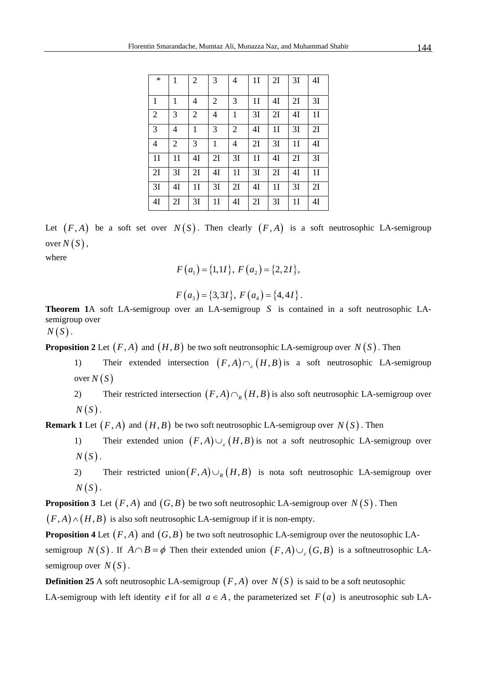| $\ast$         | 1              | $\overline{2}$ | 3              | 4              | 1 <sub>I</sub> | 2I             | 3I             | 4I |
|----------------|----------------|----------------|----------------|----------------|----------------|----------------|----------------|----|
| $\mathbf{1}$   | 1              | 4              | 2              | 3              | 1 <sub>I</sub> | 4Ι             | 2I             | 3I |
| 2              | 3              | $\overline{2}$ | 4              | $\mathbf{1}$   | 3I             | 2I             | 4I             | 1I |
| $\overline{3}$ | 4              | 1              | 3              | $\overline{2}$ | 4I             | 1 <sub>I</sub> | 3I             | 2I |
| $\overline{4}$ | $\overline{2}$ | 3              | 1              | 4              | 2I             | 3I             | 1 <sub>I</sub> | 4I |
| 1I             | 1 <sub>I</sub> | 4I             | 2I             | 3I             | 1I             | 4I             | 2I             | 3I |
| 2I             | 3I             | 2I             | 4I             | 1 <sub>I</sub> | 3I             | 2I             | 4I             | 1I |
| 3I             | 4I             | 1 <sub>I</sub> | 3I             | 2I             | 4Ι             | 1 <sub>I</sub> | 3I             | 2I |
| 4I             | 2I             | 3I             | 1 <sub>I</sub> | 4I             | 2I             | 3I             | 1 <sub>I</sub> | 4Ι |

Let  $(F, A)$  be a soft set over  $N(S)$ . Then clearly  $(F, A)$  is a soft neutrosophic LA-semigroup over  $N(S)$ ,

where

$$
F(a_1) = \{1,11\}, F(a_2) = \{2,21\},
$$

$$
F(a_3) = \{3,31\}, F(a_4) = \{4,41\}.
$$

**Theorem 1**A soft LA-semigroup over an LA-semigroup S is contained in a soft neutrosophic LAsemigroup over

 $N(S)$ .

**Proposition 2** Let  $(F, A)$  and  $(H, B)$  be two soft neutronsophic LA-semigroup over  $N(S)$ . Then

- 1) Their extended intersection  $(F, A) \cap_{F}(H, B)$  is a soft neutrosophic LA-semigroup  $over N(S)$
- 2) Their restricted intersection  $(F, A) \cap_R (H, B)$  is also soft neutrosophic LA-semigroup over  $N(S)$ .

**Remark 1** Let  $(F, A)$  and  $(H, B)$  be two soft neutrosophic LA-semigroup over  $N(S)$ . Then

- 1) Their extended union  $(F,A) \cup_{g} (H,B)$  is not a soft neutrosophic LA-semigroup over  $N(S)$ .
- 2) Their restricted union  $(F,A) \cup_R (H,B)$  is nota soft neutrosophic LA-semigroup over  $N(S)$ .

**Proposition 3** Let  $(F, A)$  and  $(G, B)$  be two soft neutrosophic LA-semigroup over  $N(S)$ . Then

 $(F, A) \wedge (H, B)$  is also soft neutrosophic LA-semigroup if it is non-empty.

**Proposition 4** Let  $(F, A)$  and  $(G, B)$  be two soft neutrosophic LA-semigroup over the neutosophic LAsemigroup *N*(*S*). If  $A \cap B = \phi$  Then their extended union  $(F, A) \cup_{g} (G, B)$  is a softneutrosophic LAsemigroup over  $N(S)$ .

**Definition 25** A soft neutrosophic LA-semigroup  $(F, A)$  over  $N(S)$  is said to be a soft neutosophic LA-semigroup with left identity *e* if for all  $a \in A$ , the parameterized set  $F(a)$  is aneutrosophic sub LA-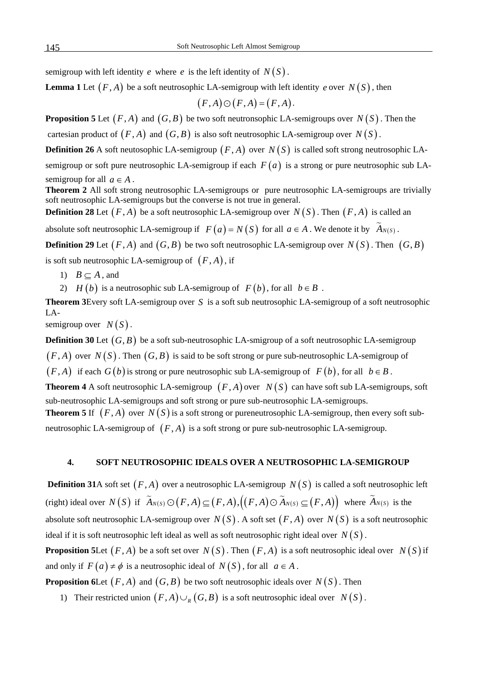semigroup with left identity *e* where *e* is the left identity of  $N(S)$ .

**Lemma 1** Let  $(F, A)$  be a soft neutrosophic LA-semigroup with left identity *e* over  $N(S)$ , then

$$
(F,A)\odot(F,A)\mathop{=}(F,A)
$$

.

**Proposition 5** Let  $(F, A)$  and  $(G, B)$  be two soft neutronsophic LA-semigroups over  $N(S)$ . Then the cartesian product of  $(F, A)$  and  $(G, B)$  is also soft neutrosophic LA-semigroup over  $N(S)$ .

**Definition 26** A soft neutosophic LA-semigroup  $(F, A)$  over  $N(S)$  is called soft strong neutrosophic LAsemigroup or soft pure neutrosophic LA-semigroup if each  $F(a)$  is a strong or pure neutrosophic sub LAsemigroup for all  $a \in A$ .

**Theorem 2** All soft strong neutrosophic LA-semigroups or pure neutrosophic LA-semigroups are trivially soft neutrosophic LA-semigroups but the converse is not true in general.

**Definition 28** Let  $(F, A)$  be a soft neutrosophic LA-semigroup over  $N(S)$ . Then  $(F, A)$  is called an

absolute soft neutrosophic LA-semigroup if  $F(a) = N(S)$  for all  $a \in A$ . We denote it by  $\widetilde{A}_{N(S)}$ .

**Definition 29** Let  $(F, A)$  and  $(G, B)$  be two soft neutrosophic LA-semigroup over  $N(S)$ . Then  $(G, B)$ 

is soft sub neutrosophic LA-semigroup of  $(F, A)$ , if

1)  $B \subseteq A$ , and

2) *H* (*b*) is a neutrosophic sub LA-semigroup of  $F(b)$ , for all  $b \in B$ .

**Theorem 3** Every soft LA-semigroup over  $S$  is a soft sub neutrosophic LA-semigroup of a soft neutrosophic LA-

semigroup over  $N(S)$ .

**Definition 30** Let  $(G, B)$  be a soft sub-neutrosophic LA-smigroup of a soft neutrosophic LA-semigroup  $(F, A)$  over  $N(S)$ . Then  $(G, B)$  is said to be soft strong or pure sub-neutrosophic LA-semigroup of  $(F, A)$  if each  $G(b)$  is strong or pure neutrosophic sub LA-semigroup of  $F(b)$ , for all  $b \in B$ . **Theorem 4** A soft neutrosophic LA-semigroup  $(F, A)$  over  $N(S)$  can have soft sub LA-semigroups, soft sub-neutrosophic LA-semigroups and soft strong or pure sub-neutrosophic LA-semigroups. **Theorem 5** If  $(F, A)$  over  $N(S)$  is a soft strong or pureneutrosophic LA-semigroup, then every soft subneutrosophic LA-semigroup of  $(F, A)$  is a soft strong or pure sub-neutrosophic LA-semigroup.

# **4. SOFT NEUTROSOPHIC IDEALS OVER A NEUTROSOPHIC LA-SEMIGROUP**

**Definition 31**A soft set  $(F, A)$  over a neutrosophic LA-semigroup  $N(S)$  is called a soft neutrosophic left (right) ideal over  $N(S)$  if  $\widetilde{A}_{N(S)} \odot (F, A) \subseteq (F, A), ((F, A) \odot \widetilde{A}_{N(S)} \subseteq (F, A))$  where  $\widetilde{A}_{N(S)}$  is the absolute soft neutrosophic LA-semigroup over  $N(S)$ . A soft set  $(F, A)$  over  $N(S)$  is a soft neutrosophic ideal if it is soft neutrosophic left ideal as well as soft neutrosophic right ideal over  $N(S)$ . **Proposition 5Let**  $(F, A)$  be a soft set over  $N(S)$ . Then  $(F, A)$  is a soft neutrosophic ideal over  $N(S)$  if and only if  $F(a) \neq \emptyset$  is a neutrosophic ideal of  $N(S)$ , for all  $a \in A$ .

**Proposition 6Let**  $(F, A)$  and  $(G, B)$  be two soft neutrosophic ideals over  $N(S)$ . Then

1) Their restricted union  $(F, A) \cup_R (G, B)$  is a soft neutrosophic ideal over  $N(S)$ .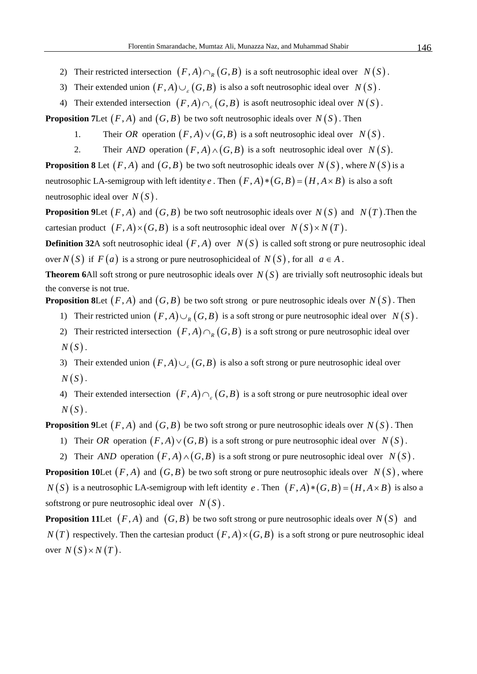- 2) Their restricted intersection  $(F,A) \cap_R (G,B)$  is a soft neutrosophic ideal over  $N(S)$ .
- 3) Their extended union  $(F, A) \cup_{\varepsilon} (G, B)$  is also a soft neutrosophic ideal over  $N(S)$ .
- 4) Their extended intersection  $(F, A) \cap_{g} (G, B)$  is asoft neutrosophic ideal over  $N(S)$ .

**Proposition 7Let**  $(F, A)$  and  $(G, B)$  be two soft neutrosophic ideals over  $N(S)$ . Then

- 1. Their *OR* operation  $(F, A) \vee (G, B)$  is a soft neutrosophic ideal over  $N(S)$ .
- 2. Their *AND* operation  $(F, A) \wedge (G, B)$  is a soft neutrosophic ideal over  $N(S)$ .

**Proposition 8** Let  $(F, A)$  and  $(G, B)$  be two soft neutrosophic ideals over  $N(S)$ , where  $N(S)$  is a neutrosophic LA-semigroup with left identity *e*. Then  $(F, A) * (G, B) = (H, A \times B)$  is also a soft neutrosophic ideal over  $N(S)$ .

**Proposition 9Let**  $(F, A)$  and  $(G, B)$  be two soft neutrosophic ideals over  $N(S)$  and  $N(T)$ . Then the cartesian product  $(F, A) \times (G, B)$  is a soft neutrosophic ideal over  $N(S) \times N(T)$ .

**Definition 32A** soft neutrosophic ideal  $(F, A)$  over  $N(S)$  is called soft strong or pure neutrosophic ideal over  $N(S)$  if  $F(a)$  is a strong or pure neutrosophicideal of  $N(S)$ , for all  $a \in A$ .

**Theorem 6**All soft strong or pure neutrosophic ideals over  $N(S)$  are trivially soft neutrosophic ideals but the converse is not true.

**Proposition 8Let**  $(F, A)$  and  $(G, B)$  be two soft strong or pure neutrosophic ideals over  $N(S)$ . Then

- 1) Their restricted union  $(F, A) \cup_R (G, B)$  is a soft strong or pure neutrosophic ideal over  $N(S)$ .
- 2) Their restricted intersection  $(F, A) \cap_R (G, B)$  is a soft strong or pure neutrosophic ideal over  $N(S)$ .
- 3) Their extended union  $(F, A) \cup_{\varepsilon} (G, B)$  is also a soft strong or pure neutrosophic ideal over  $N(S)$  .
- 4) Their extended intersection  $(F, A) \cap_{\varepsilon} (G, B)$  is a soft strong or pure neutrosophic ideal over  $N(S)$ .

**Proposition 9Let**  $(F, A)$  and  $(G, B)$  be two soft strong or pure neutrosophic ideals over  $N(S)$ . Then

- 1) Their *OR* operation  $(F, A) \vee (G, B)$  is a soft strong or pure neutrosophic ideal over  $N(S)$ .
- 2) Their *AND* operation  $(F, A) \wedge (G, B)$  is a soft strong or pure neutrosophic ideal over  $N(S)$ .

**Proposition 10Let**  $(F, A)$  and  $(G, B)$  be two soft strong or pure neutrosophic ideals over  $N(S)$ , where  $N(S)$  is a neutrosophic LA-semigroup with left identity *e*. Then  $(F, A) * (G, B) = (H, A \times B)$  is also a softstrong or pure neutrosophic ideal over  $N(S)$ .

**Proposition 11Let**  $(F, A)$  and  $(G, B)$  be two soft strong or pure neutrosophic ideals over  $N(S)$  and  $N(T)$  respectively. Then the cartesian product  $(F, A) \times (G, B)$  is a soft strong or pure neutrosophic ideal over  $N(S) \times N(T)$ .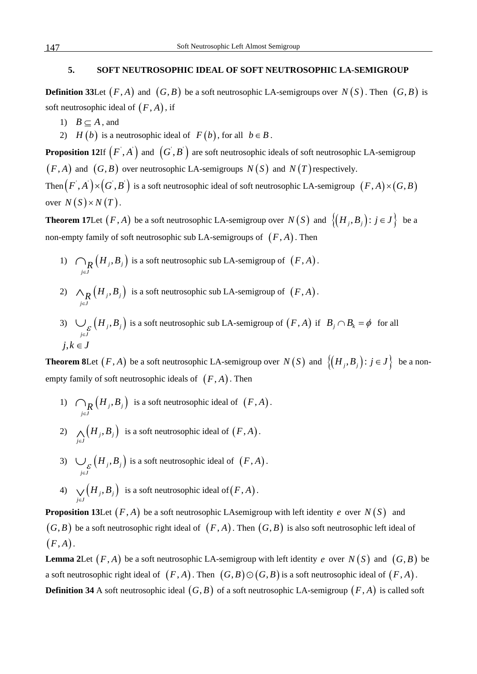# **5. SOFT NEUTROSOPHIC IDEAL OF SOFT NEUTROSOPHIC LA-SEMIGROUP**

**Definition 33** Let  $(F, A)$  and  $(G, B)$  be a soft neutrosophic LA-semigroups over  $N(S)$ . Then  $(G, B)$  is soft neutrosophic ideal of  $(F, A)$ , if

- 1)  $B \subset A$ , and
- 2) *H* (*b*) is a neutrosophic ideal of  $F(b)$ , for all  $b \in B$ .

**Proposition 12**If  $(F, A)$  and  $(G, B)$  are soft neutrosophic ideals of soft neutrosophic LA-semigroup  $(F, A)$  and  $(G, B)$  over neutrosophic LA-semigroups  $N(S)$  and  $N(T)$  respectively.

Then  $(F',A')\times (G',B')$  is a soft neutrosophic ideal of soft neutrosophic LA-semigroup  $\ (F,A)\times (G,B)$ over  $N(S) \times N(T)$ .

**Theorem 17**Let  $(F, A)$  be a soft neutrosophic LA-semigroup over  $N(S)$  and  $\{(H_i, B_i) : j \in J\}$  be a non-empty family of soft neutrosophic sub LA-semigroups of  $(F, A)$ . Then

- 1)  $\bigcap_{\mathbf{R}} (H_j, B_j)$  is a soft neutrosophic sub LA-semigroup of  $\bigcap_{j\in J} \big(H_j, B_j\big)$  $\bigcap_{\mathbf{R}} (H_j, B_j)$  is a soft neutrosophic sub LA-semigroup of  $(F, A)$ .
- 2)  $\wedge_R (H_j, B_j)$  is a soft neutrosophic sub LA-semigroup of  $\bigwedge_{j \in J} \left( H_j, B \right)$  $\wedge_R (H_j, B_j)$  is a soft neutrosophic sub LA-semigroup of  $(F, A)$ .
- 3)  $\bigcup_{\varepsilon} (H_j, B_j)$  is a soft neutrosophic sub LA-semigroup of *j J*  $\mathcal{F}_{\mathcal{E}}\left(H_{j},B\right)$  $\bigcup_{\varepsilon} (H_j, B_j)$  is a soft neutrosophic sub LA-semigroup of  $(F, A)$  if  $B_j \cap B_k = \phi$  for all  $j, k \in J$

**Theorem 8**Let  $(F, A)$  be a soft neutrosophic LA-semigroup over  $N(S)$  and  $\{(H_i, B_j) : j \in J\}$  be a nonempty family of soft neutrosophic ideals of  $(F, A)$ . Then

- 1)  $\bigcap_{\mathbf{R}} (H_i, B_j)$  is a soft neutrosophic ideal of  $\bigcap_{j\in J} \big(H_{_j},B\big)$  $\bigcap_R (H_j, B_j)$  is a soft neutrosophic ideal of  $(F, A)$ .
- 2)  $\bigwedge_{j \in J} (H_j, B_j)$  is a soft neutrosophic ideal of  $H<sub>i</sub>, B$  $\bigwedge_{j\in J} (H_j, B_j)$  is a soft neutrosophic ideal of  $(F, A)$ .
- 3)  $\bigcup_{\varepsilon} (H_j, B_j)$  is a soft neutrosophic ideal of *j J*  $\mathcal{F}_{\mathcal{E}}\left(H_{j},B\right)$  $\bigcup_{\varepsilon} (H_j, B_j)$  is a soft neutrosophic ideal of  $(F, A)$ .
- 4)  $\bigvee_{j \in J} (H_j, B_j)$  is a soft neutrosophic ideal of  $H<sub>i</sub>, B$  $\bigvee_{j\in J} (H_j,B_j)$  is a soft neutrosophic ideal of  $(F,A)$ .

**Proposition 13Let**  $(F, A)$  be a soft neutrosophic LAsemigroup with left identity *e* over  $N(S)$  and  $(G, B)$  be a soft neutrosophic right ideal of  $(F, A)$ . Then  $(G, B)$  is also soft neutrosophic left ideal of  $(F, A)$ .

**Lemma 2**Let  $(F, A)$  be a soft neutrosophic LA-semigroup with left identity *e* over  $N(S)$  and  $(G, B)$  be a soft neutrosophic right ideal of  $(F, A)$ . Then  $(G, B) \odot (G, B)$  is a soft neutrosophic ideal of  $(F, A)$ . **Definition 34** A soft neutrosophic ideal  $(G, B)$  of a soft neutrosophic LA-semigroup  $(F, A)$  is called soft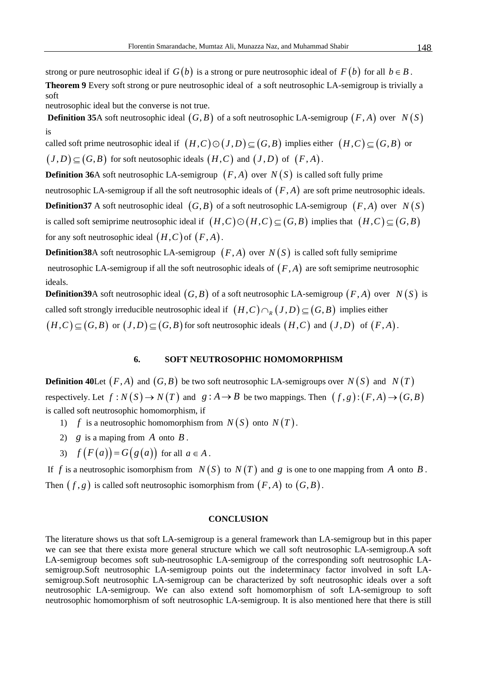strong or pure neutrosophic ideal if  $G(b)$  is a strong or pure neutrosophic ideal of  $F(b)$  for all  $b \in B$ . **Theorem 9** Every soft strong or pure neutrosophic ideal of a soft neutrosophic LA-semigroup is trivially a soft

neutrosophic ideal but the converse is not true.

**Definition 35**A soft neutrosophic ideal  $(G, B)$  of a soft neutrosophic LA-semigroup  $(F, A)$  over  $N(S)$ is

called soft prime neutrosophic ideal if  $(H, C) \odot (J, D) \subseteq (G, B)$  implies either  $(H, C) \subseteq (G, B)$  or  $(J,D) \subset (G,B)$  for soft neutosophic ideals  $(H,C)$  and  $(J,D)$  of  $(F,A)$ .

**Definition 36**A soft neutrosophic LA-semigroup  $(F, A)$  over  $N(S)$  is called soft fully prime

neutrosophic LA-semigroup if all the soft neutrosophic ideals of  $(F, A)$  are soft prime neutrosophic ideals. **Definition37** A soft neutrosophic ideal  $(G, B)$  of a soft neutrosophic LA-semigroup  $(F, A)$  over  $N(S)$ is called soft semiprime neutrosophic ideal if  $(H, C) \odot (H, C) \subseteq (G, B)$  implies that  $(H, C) \subseteq (G, B)$ 

for any soft neutrosophic ideal  $(H, C)$  of  $(F, A)$ .

**Definition38**A soft neutrosophic LA-semigroup  $(F, A)$  over  $N(S)$  is called soft fully semiprime neutrosophic LA-semigroup if all the soft neutrosophic ideals of  $(F, A)$  are soft semiprime neutrosophic ideals.

**Definition39**A soft neutrosophic ideal  $(G, B)$  of a soft neutrosophic LA-semigroup  $(F, A)$  over  $N(S)$  is called soft strongly irreducible neutrosophic ideal if  $(H, C) \cap_R (J, D) \subseteq (G, B)$  implies either  $(H, C) \subseteq (G, B)$  or  $(J, D) \subseteq (G, B)$  for soft neutrosophic ideals  $(H, C)$  and  $(J, D)$  of  $(F, A)$ .

#### **6. SOFT NEUTROSOPHIC HOMOMORPHISM**

**Definition 40**Let  $(F, A)$  and  $(G, B)$  be two soft neutrosophic LA-semigroups over  $N(S)$  and  $N(T)$ respectively. Let  $f : N(S) \to N(T)$  and  $g : A \to B$  be two mappings. Then  $(f, g) : (F, A) \to (G, B)$ is called soft neutrosophic homomorphism, if

- 1) *f* is a neutrosophic homomorphism from  $N(S)$  onto  $N(T)$ .
- 2) *g* is a maping from *A* onto *B* .
- 3)  $f(F(a)) = G(g(a))$  for all  $a \in A$ .

If *f* is a neutrosophic isomorphism from  $N(S)$  to  $N(T)$  and *g* is one to one mapping from *A* onto *B*. Then  $(f, g)$  is called soft neutrosophic isomorphism from  $(F, A)$  to  $(G, B)$ .

#### **CONCLUSION**

The literature shows us that soft LA-semigroup is a general framework than LA-semigroup but in this paper we can see that there exista more general structure which we call soft neutrosophic LA-semigroup.A soft LA-semigroup becomes soft sub-neutrosophic LA-semigroup of the corresponding soft neutrosophic LAsemigroup.Soft neutrosophic LA-semigroup points out the indeterminacy factor involved in soft LAsemigroup.Soft neutrosophic LA-semigroup can be characterized by soft neutrosophic ideals over a soft neutrosophic LA-semigroup. We can also extend soft homomorphism of soft LA-semigroup to soft neutrosophic homomorphism of soft neutrosophic LA-semigroup. It is also mentioned here that there is still